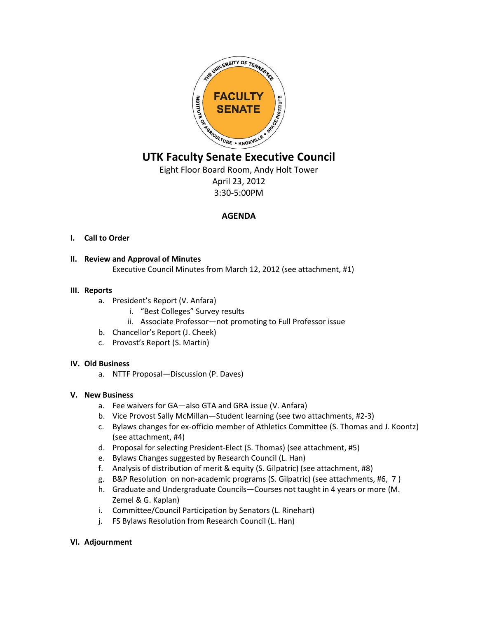

# **UTK Faculty Senate Executive Council**

Eight Floor Board Room, Andy Holt Tower April 23, 2012 3:30-5:00PM

# **AGENDA**

## **I. Call to Order**

## **II. Review and Approval of Minutes**

Executive Council Minutes from March 12, 2012 (see attachment, #1)

#### **III. Reports**

- a. President's Report (V. Anfara)
	- i. "Best Colleges" Survey results
	- ii. Associate Professor—not promoting to Full Professor issue
- b. Chancellor's Report (J. Cheek)
- c. Provost's Report (S. Martin)

#### **IV. Old Business**

a. NTTF Proposal—Discussion (P. Daves)

#### **V. New Business**

- a. Fee waivers for GA—also GTA and GRA issue (V. Anfara)
- b. Vice Provost Sally McMillan—Student learning (see two attachments, #2-3)
- c. Bylaws changes for ex-officio member of Athletics Committee (S. Thomas and J. Koontz) (see attachment, #4)
- d. Proposal for selecting President-Elect (S. Thomas) (see attachment, #5)
- e. Bylaws Changes suggested by Research Council (L. Han)
- f. Analysis of distribution of merit & equity (S. Gilpatric) (see attachment, #8)
- g. B&P Resolution on non-academic programs (S. Gilpatric) (see attachments, #6, 7 )
- h. Graduate and Undergraduate Councils—Courses not taught in 4 years or more (M. Zemel & G. Kaplan)
- i. Committee/Council Participation by Senators (L. Rinehart)
- j. FS Bylaws Resolution from Research Council (L. Han)

#### **VI. Adjournment**